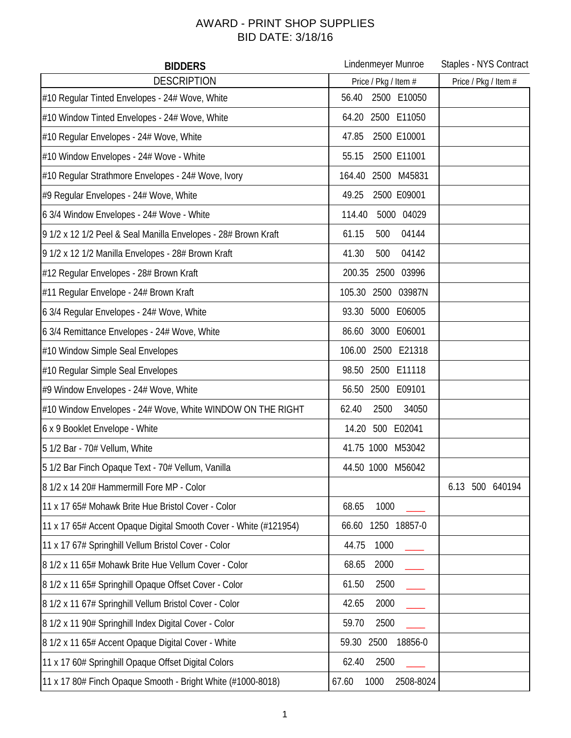## AWARD - PRINT SHOP SUPPLIES BID DATE: 3/18/16

| <b>BIDDERS</b>                                                   | Lindenmeyer Munroe         | Staples - NYS Contract |
|------------------------------------------------------------------|----------------------------|------------------------|
| <b>DESCRIPTION</b>                                               | Price / Pkg / Item #       | Price / Pkg / Item #   |
| #10 Regular Tinted Envelopes - 24# Wove, White                   | 2500 E10050<br>56.40       |                        |
| #10 Window Tinted Envelopes - 24# Wove, White                    | 64.20 2500 E11050          |                        |
| #10 Regular Envelopes - 24# Wove, White                          | 47.85<br>2500 E10001       |                        |
| #10 Window Envelopes - 24# Wove - White                          | 2500 E11001<br>55.15       |                        |
| #10 Regular Strathmore Envelopes - 24# Wove, Ivory               | 164.40<br>2500 M45831      |                        |
| #9 Regular Envelopes - 24# Wove, White                           | 49.25<br>2500 E09001       |                        |
| 6 3/4 Window Envelopes - 24# Wove - White                        | 114.40<br>5000 04029       |                        |
| 9 1/2 x 12 1/2 Peel & Seal Manilla Envelopes - 28# Brown Kraft   | 61.15<br>500<br>04144      |                        |
| 9 1/2 x 12 1/2 Manilla Envelopes - 28# Brown Kraft               | 04142<br>41.30<br>500      |                        |
| #12 Regular Envelopes - 28# Brown Kraft                          | 200.35 2500 03996          |                        |
| #11 Regular Envelope - 24# Brown Kraft                           | 105.30<br>2500 03987N      |                        |
| 6 3/4 Regular Envelopes - 24# Wove, White                        | 5000 E06005<br>93.30       |                        |
| 6 3/4 Remittance Envelopes - 24# Wove, White                     | 3000 E06001<br>86.60       |                        |
| #10 Window Simple Seal Envelopes                                 | 106.00<br>2500 E21318      |                        |
| #10 Regular Simple Seal Envelopes                                | 2500 E11118<br>98.50       |                        |
| #9 Window Envelopes - 24# Wove, White                            | 56.50 2500 E09101          |                        |
| #10 Window Envelopes - 24# Wove, White WINDOW ON THE RIGHT       | 2500<br>34050<br>62.40     |                        |
| 6 x 9 Booklet Envelope - White                                   | 500 E02041<br>14.20        |                        |
| 5 1/2 Bar - 70# Vellum, White                                    | 41.75 1000 M53042          |                        |
| 5 1/2 Bar Finch Opaque Text - 70# Vellum, Vanilla                | 44.50 1000 M56042          |                        |
| 8 1/2 x 14 20# Hammermill Fore MP - Color                        |                            | 6.13 500 640194        |
| 11 x 17 65# Mohawk Brite Hue Bristol Cover - Color               | 68.65<br>1000              |                        |
| 11 x 17 65# Accent Opaque Digital Smooth Cover - White (#121954) | 1250 18857-0<br>66.60      |                        |
| 11 x 17 67# Springhill Vellum Bristol Cover - Color              | 44.75<br>1000              |                        |
| 8 1/2 x 11 65# Mohawk Brite Hue Vellum Cover - Color             | 2000<br>68.65              |                        |
| 8 1/2 x 11 65# Springhill Opaque Offset Cover - Color            | 2500<br>61.50              |                        |
| 8 1/2 x 11 67# Springhill Vellum Bristol Cover - Color           | 2000<br>42.65              |                        |
| 8 1/2 x 11 90# Springhill Index Digital Cover - Color            | 59.70<br>2500              |                        |
| 8 1/2 x 11 65# Accent Opaque Digital Cover - White               | 59.30 2500<br>18856-0      |                        |
| 11 x 17 60# Springhill Opaque Offset Digital Colors              | 62.40<br>2500              |                        |
| 11 x 17 80# Finch Opaque Smooth - Bright White (#1000-8018)      | 1000<br>67.60<br>2508-8024 |                        |